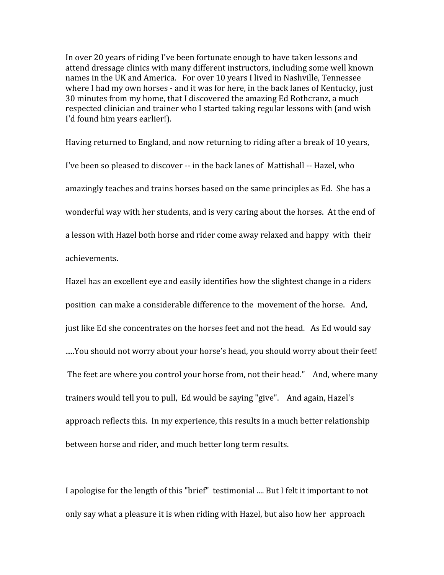In over 20 years of riding I've been fortunate enough to have taken lessons and attend
dressage
clinics
with
many
different
instructors,
including
some
well
known names
in
the
UK
and
America. For
over
10
years
I
lived
in
Nashville,
Tennessee where I had my own horses - and it was for here, in the back lanes of Kentucky, just 30
minutes
from
my
home,
that
I
discovered
the
amazing
Ed
Rothcranz,
a
much respected clinician and trainer who I started taking regular lessons with (and wish I'd
found
him
years
earlier!).

Having returned to England, and now returning to riding after a break of 10 years, I've been so pleased to discover -- in the back lanes of Mattishall -- Hazel, who amazingly
teaches
and
trains
horses
based
on
the
same
principles
as
Ed. She
has
a wonderful way with her students, and is very caring about the horses. At the end of a
lesson
with
Hazel
both
horse
and
rider
come
away
relaxed
and
happy with their achievements.

Hazel has an excellent eye and easily identifies how the slightest change in a riders position can
make
a
considerable
difference
to
the movement
of
the
horse. And, just
like
Ed
she
concentrates
on
the
horses
feet
and
not
the
head. As
Ed
would
say .....You should not worry about your horse's head, you should worry about their feet! The
feet
are
where
you
control
your
horse
from,
not
their
head." And,
where
many trainers
would
tell
you
to
pull, Ed
would
be
saying
"give". And
again,
Hazel's approach
reflects
this. In
my
experience,
this
results
in
a
much
better
relationship between
horse
and
rider,
and
much
better
long
term
results.

I apologise for the length of this "brief" testimonial .... But I felt it important to not only
say
what
a
pleasure
it
is
when
riding
with
Hazel,
but
also
how
her approach